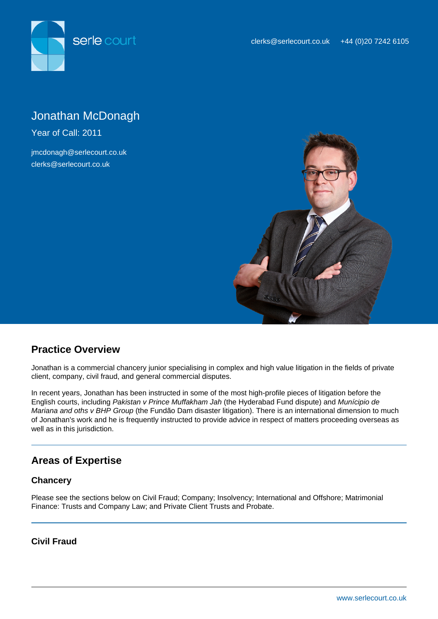

# Jonathan McDonagh

Year of Call: 2011

jmcdonagh@serlecourt.co.uk clerks@serlecourt.co.uk



# **Practice Overview**

Jonathan is a commercial chancery junior specialising in complex and high value litigation in the fields of private client, company, civil fraud, and general commercial disputes.

In recent years, Jonathan has been instructed in some of the most high-profile pieces of litigation before the English courts, including Pakistan v Prince Muffakham Jah (the Hyderabad Fund dispute) and Munícipio de Mariana and oths v BHP Group (the Fundão Dam disaster litigation). There is an international dimension to much of Jonathan's work and he is frequently instructed to provide advice in respect of matters proceeding overseas as well as in this jurisdiction.

# **Areas of Expertise**

## **Chancery**

Please see the sections below on Civil Fraud; Company; Insolvency; International and Offshore; Matrimonial Finance: Trusts and Company Law; and Private Client Trusts and Probate.

#### **Civil Fraud**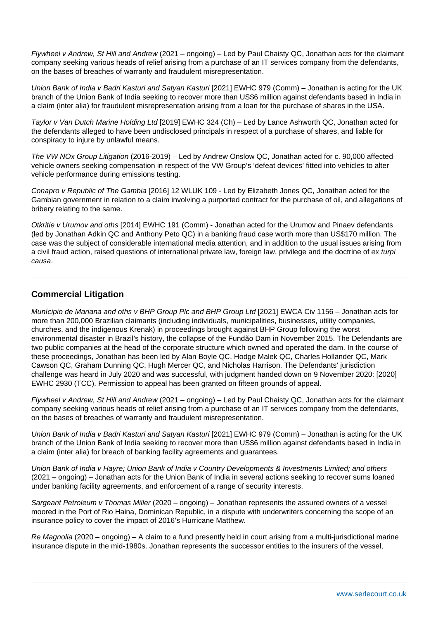Flywheel v Andrew, St Hill and Andrew (2021 – ongoing) – Led by Paul Chaisty QC, Jonathan acts for the claimant company seeking various heads of relief arising from a purchase of an IT services company from the defendants, on the bases of breaches of warranty and fraudulent misrepresentation.

Union Bank of India v Badri Kasturi and Satyan Kasturi [2021] EWHC 979 (Comm) - Jonathan is acting for the UK branch of the Union Bank of India seeking to recover more than US\$6 million against defendants based in India in a claim (inter alia) for fraudulent misrepresentation arising from a loan for the purchase of shares in the USA.

Taylor v Van Dutch Marine Holding Ltd [2019] EWHC 324 (Ch) – Led by Lance Ashworth QC, Jonathan acted for the defendants alleged to have been undisclosed principals in respect of a purchase of shares, and liable for conspiracy to injure by unlawful means.

The VW NOx Group Litigation (2016-2019) – Led by Andrew Onslow QC, Jonathan acted for c. 90,000 affected vehicle owners seeking compensation in respect of the VW Group's 'defeat devices' fitted into vehicles to alter vehicle performance during emissions testing.

Conapro v Republic of The Gambia [2016] 12 WLUK 109 - Led by Elizabeth Jones QC, Jonathan acted for the Gambian government in relation to a claim involving a purported contract for the purchase of oil, and allegations of bribery relating to the same.

Otkritie v Urumov and oths [2014] EWHC 191 (Comm) - Jonathan acted for the Urumov and Pinaev defendants (led by Jonathan Adkin QC and Anthony Peto QC) in a banking fraud case worth more than US\$170 million. The case was the subject of considerable international media attention, and in addition to the usual issues arising from a civil fraud action, raised questions of international private law, foreign law, privilege and the doctrine of ex turpi causa.

## **Commercial Litigation**

Munícipio de Mariana and oths v BHP Group Plc and BHP Group Ltd [2021] EWCA Civ 1156 – Jonathan acts for more than 200,000 Brazilian claimants (including individuals, municipalities, businesses, utility companies, churches, and the indigenous Krenak) in proceedings brought against BHP Group following the worst environmental disaster in Brazil's history, the collapse of the Fundão Dam in November 2015. The Defendants are two public companies at the head of the corporate structure which owned and operated the dam. In the course of these proceedings, Jonathan has been led by Alan Boyle QC, Hodge Malek QC, Charles Hollander QC, Mark Cawson QC, Graham Dunning QC, Hugh Mercer QC, and Nicholas Harrison. The Defendants' jurisdiction challenge was heard in July 2020 and was successful, with judgment handed down on 9 November 2020: [2020] EWHC 2930 (TCC). Permission to appeal has been granted on fifteen grounds of appeal.

Flywheel v Andrew, St Hill and Andrew (2021 – ongoing) – Led by Paul Chaisty QC, Jonathan acts for the claimant company seeking various heads of relief arising from a purchase of an IT services company from the defendants, on the bases of breaches of warranty and fraudulent misrepresentation.

Union Bank of India v Badri Kasturi and Satyan Kasturi [2021] EWHC 979 (Comm) – Jonathan is acting for the UK branch of the Union Bank of India seeking to recover more than US\$6 million against defendants based in India in a claim (inter alia) for breach of banking facility agreements and guarantees.

Union Bank of India v Hayre; Union Bank of India v Country Developments & Investments Limited; and others (2021 – ongoing) – Jonathan acts for the Union Bank of India in several actions seeking to recover sums loaned under banking facility agreements, and enforcement of a range of security interests.

Sargeant Petroleum v Thomas Miller (2020 – ongoing) – Jonathan represents the assured owners of a vessel moored in the Port of Rio Haina, Dominican Republic, in a dispute with underwriters concerning the scope of an insurance policy to cover the impact of 2016's Hurricane Matthew.

Re Magnolia (2020 – ongoing) – A claim to a fund presently held in court arising from a multi-jurisdictional marine insurance dispute in the mid-1980s. Jonathan represents the successor entities to the insurers of the vessel,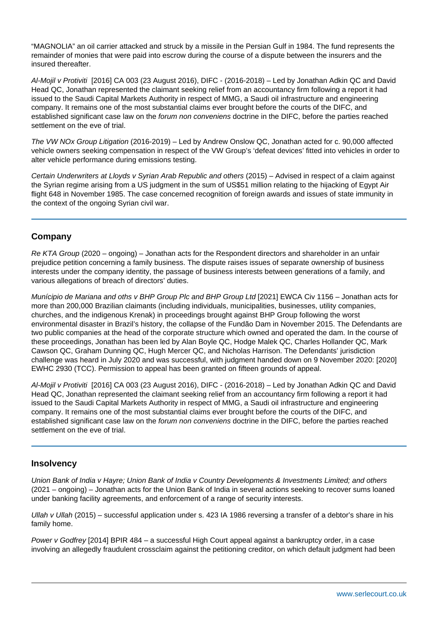"MAGNOLIA" an oil carrier attacked and struck by a missile in the Persian Gulf in 1984. The fund represents the remainder of monies that were paid into escrow during the course of a dispute between the insurers and the insured thereafter.

Al-Mojil v Protiviti [2016] CA 003 (23 August 2016), DIFC - (2016-2018) – Led by Jonathan Adkin QC and David Head QC, Jonathan represented the claimant seeking relief from an accountancy firm following a report it had issued to the Saudi Capital Markets Authority in respect of MMG, a Saudi oil infrastructure and engineering company. It remains one of the most substantial claims ever brought before the courts of the DIFC, and established significant case law on the forum non conveniens doctrine in the DIFC, before the parties reached settlement on the eve of trial.

The VW NOx Group Litigation (2016-2019) – Led by Andrew Onslow QC, Jonathan acted for c. 90,000 affected vehicle owners seeking compensation in respect of the VW Group's 'defeat devices' fitted into vehicles in order to alter vehicle performance during emissions testing.

Certain Underwriters at Lloyds v Syrian Arab Republic and others (2015) – Advised in respect of a claim against the Syrian regime arising from a US judgment in the sum of US\$51 million relating to the hijacking of Egypt Air flight 648 in November 1985. The case concerned recognition of foreign awards and issues of state immunity in the context of the ongoing Syrian civil war.

## **Company**

Re KTA Group (2020 – ongoing) – Jonathan acts for the Respondent directors and shareholder in an unfair prejudice petition concerning a family business. The dispute raises issues of separate ownership of business interests under the company identity, the passage of business interests between generations of a family, and various allegations of breach of directors' duties.

Munícipio de Mariana and oths v BHP Group Plc and BHP Group Ltd [2021] EWCA Civ 1156 – Jonathan acts for more than 200,000 Brazilian claimants (including individuals, municipalities, businesses, utility companies, churches, and the indigenous Krenak) in proceedings brought against BHP Group following the worst environmental disaster in Brazil's history, the collapse of the Fundão Dam in November 2015. The Defendants are two public companies at the head of the corporate structure which owned and operated the dam. In the course of these proceedings, Jonathan has been led by Alan Boyle QC, Hodge Malek QC, Charles Hollander QC, Mark Cawson QC, Graham Dunning QC, Hugh Mercer QC, and Nicholas Harrison. The Defendants' jurisdiction challenge was heard in July 2020 and was successful, with judgment handed down on 9 November 2020: [2020] EWHC 2930 (TCC). Permission to appeal has been granted on fifteen grounds of appeal.

Al-Mojil v Protiviti [2016] CA 003 (23 August 2016), DIFC - (2016-2018) – Led by Jonathan Adkin QC and David Head QC, Jonathan represented the claimant seeking relief from an accountancy firm following a report it had issued to the Saudi Capital Markets Authority in respect of MMG, a Saudi oil infrastructure and engineering company. It remains one of the most substantial claims ever brought before the courts of the DIFC, and established significant case law on the forum non conveniens doctrine in the DIFC, before the parties reached settlement on the eve of trial.

## **Insolvency**

Union Bank of India v Hayre; Union Bank of India v Country Developments & Investments Limited; and others (2021 – ongoing) – Jonathan acts for the Union Bank of India in several actions seeking to recover sums loaned under banking facility agreements, and enforcement of a range of security interests.

Ullah v Ullah (2015) – successful application under s. 423 IA 1986 reversing a transfer of a debtor's share in his family home.

Power v Godfrey [2014] BPIR 484 – a successful High Court appeal against a bankruptcy order, in a case involving an allegedly fraudulent crossclaim against the petitioning creditor, on which default judgment had been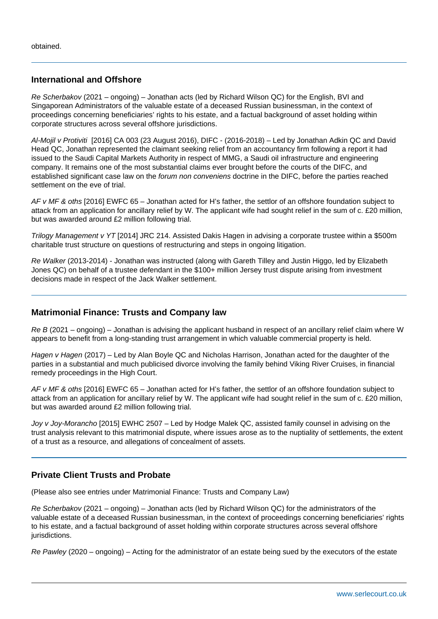#### **International and Offshore**

Re Scherbakov (2021 – ongoing) – Jonathan acts (led by Richard Wilson QC) for the English, BVI and Singaporean Administrators of the valuable estate of a deceased Russian businessman, in the context of proceedings concerning beneficiaries' rights to his estate, and a factual background of asset holding within corporate structures across several offshore jurisdictions.

Al-Mojil v Protiviti [2016] CA 003 (23 August 2016), DIFC - (2016-2018) – Led by Jonathan Adkin QC and David Head QC, Jonathan represented the claimant seeking relief from an accountancy firm following a report it had issued to the Saudi Capital Markets Authority in respect of MMG, a Saudi oil infrastructure and engineering company. It remains one of the most substantial claims ever brought before the courts of the DIFC, and established significant case law on the forum non conveniens doctrine in the DIFC, before the parties reached settlement on the eve of trial.

AF v MF & oths [2016] EWFC 65 – Jonathan acted for H's father, the settlor of an offshore foundation subject to attack from an application for ancillary relief by W. The applicant wife had sought relief in the sum of c. £20 million, but was awarded around £2 million following trial.

Trilogy Management v YT [2014] JRC 214. Assisted Dakis Hagen in advising a corporate trustee within a \$500m charitable trust structure on questions of restructuring and steps in ongoing litigation.

Re Walker (2013-2014) - Jonathan was instructed (along with Gareth Tilley and Justin Higgo, led by Elizabeth Jones QC) on behalf of a trustee defendant in the \$100+ million Jersey trust dispute arising from investment decisions made in respect of the Jack Walker settlement.

#### **Matrimonial Finance: Trusts and Company law**

Re B (2021 – ongoing) – Jonathan is advising the applicant husband in respect of an ancillary relief claim where W appears to benefit from a long-standing trust arrangement in which valuable commercial property is held.

Hagen v Hagen (2017) – Led by Alan Boyle QC and Nicholas Harrison, Jonathan acted for the daughter of the parties in a substantial and much publicised divorce involving the family behind Viking River Cruises, in financial remedy proceedings in the High Court.

AF v MF & oths [2016] EWFC 65 – Jonathan acted for H's father, the settlor of an offshore foundation subject to attack from an application for ancillary relief by W. The applicant wife had sought relief in the sum of c. £20 million, but was awarded around £2 million following trial.

Joy v Joy-Morancho [2015] EWHC 2507 – Led by Hodge Malek QC, assisted family counsel in advising on the trust analysis relevant to this matrimonial dispute, where issues arose as to the nuptiality of settlements, the extent of a trust as a resource, and allegations of concealment of assets.

#### **Private Client Trusts and Probate**

(Please also see entries under Matrimonial Finance: Trusts and Company Law)

Re Scherbakov (2021 – ongoing) – Jonathan acts (led by Richard Wilson QC) for the administrators of the valuable estate of a deceased Russian businessman, in the context of proceedings concerning beneficiaries' rights to his estate, and a factual background of asset holding within corporate structures across several offshore jurisdictions.

Re Pawley (2020 – ongoing) – Acting for the administrator of an estate being sued by the executors of the estate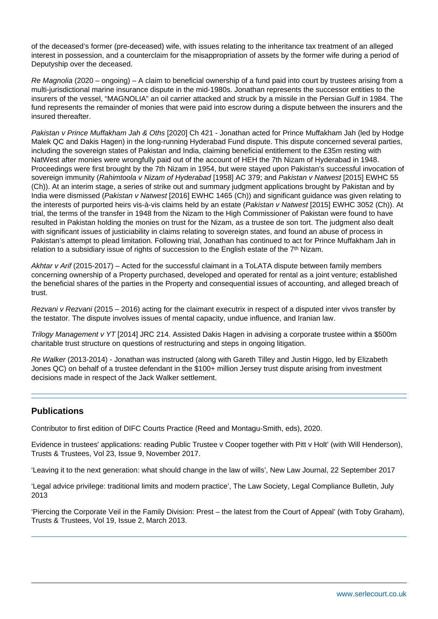of the deceased's former (pre-deceased) wife, with issues relating to the inheritance tax treatment of an alleged interest in possession, and a counterclaim for the misappropriation of assets by the former wife during a period of Deputyship over the deceased.

Re Magnolia (2020 – ongoing) – A claim to beneficial ownership of a fund paid into court by trustees arising from a multi-jurisdictional marine insurance dispute in the mid-1980s. Jonathan represents the successor entities to the insurers of the vessel, "MAGNOLIA" an oil carrier attacked and struck by a missile in the Persian Gulf in 1984. The fund represents the remainder of monies that were paid into escrow during a dispute between the insurers and the insured thereafter.

Pakistan v Prince Muffakham Jah & Oths [2020] Ch 421 - Jonathan acted for Prince Muffakham Jah (led by Hodge Malek QC and Dakis Hagen) in the long-running Hyderabad Fund dispute. This dispute concerned several parties, including the sovereign states of Pakistan and India, claiming beneficial entitlement to the £35m resting with NatWest after monies were wrongfully paid out of the account of HEH the 7th Nizam of Hyderabad in 1948. Proceedings were first brought by the 7th Nizam in 1954, but were stayed upon Pakistan's successful invocation of sovereign immunity (Rahimtoola v Nizam of Hyderabad [1958] AC 379; and Pakistan v Natwest [2015] EWHC 55 (Ch)). At an interim stage, a series of strike out and summary judgment applications brought by Pakistan and by India were dismissed (Pakistan v Natwest [2016] EWHC 1465 (Ch)) and significant guidance was given relating to the interests of purported heirs vis-à-vis claims held by an estate (Pakistan v Natwest [2015] EWHC 3052 (Ch)). At trial, the terms of the transfer in 1948 from the Nizam to the High Commissioner of Pakistan were found to have resulted in Pakistan holding the monies on trust for the Nizam, as a trustee de son tort. The judgment also dealt with significant issues of justiciability in claims relating to sovereign states, and found an abuse of process in Pakistan's attempt to plead limitation. Following trial, Jonathan has continued to act for Prince Muffakham Jah in relation to a subsidiary issue of rights of succession to the English estate of the 7<sup>th</sup> Nizam.

Akhtar v Arif (2015-2017) – Acted for the successful claimant in a ToLATA dispute between family members concerning ownership of a Property purchased, developed and operated for rental as a joint venture; established the beneficial shares of the parties in the Property and consequential issues of accounting, and alleged breach of trust.

Rezvani v Rezvani (2015 – 2016) acting for the claimant executrix in respect of a disputed inter vivos transfer by the testator. The dispute involves issues of mental capacity, undue influence, and Iranian law.

Trilogy Management v YT [2014] JRC 214. Assisted Dakis Hagen in advising a corporate trustee within a \$500m charitable trust structure on questions of restructuring and steps in ongoing litigation.

Re Walker (2013-2014) - Jonathan was instructed (along with Gareth Tilley and Justin Higgo, led by Elizabeth Jones QC) on behalf of a trustee defendant in the \$100+ million Jersey trust dispute arising from investment decisions made in respect of the Jack Walker settlement.

#### **Publications**

Contributor to first edition of DIFC Courts Practice (Reed and Montagu-Smith, eds), 2020.

Evidence in trustees' applications: reading Public Trustee v Cooper together with Pitt v Holt' (with Will Henderson), Trusts & Trustees, Vol 23, Issue 9, November 2017.

'Leaving it to the next generation: what should change in the law of wills', New Law Journal, 22 September 2017

'Legal advice privilege: traditional limits and modern practice', The Law Society, Legal Compliance Bulletin, July 2013

'Piercing the Corporate Veil in the Family Division: Prest – the latest from the Court of Appeal' (with Toby Graham), Trusts & Trustees, Vol 19, Issue 2, March 2013.